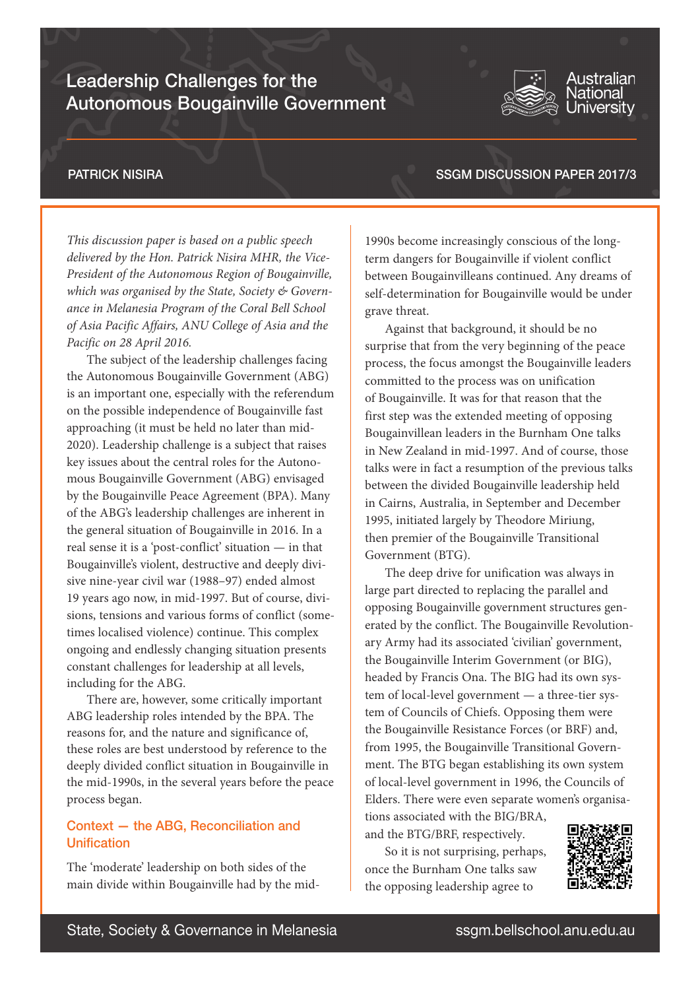# Leadership Challenges for the Autonomous Bougainville Government



#### Australian **lational** Universitv

## PATRICK NISIRA

SSGM DISCUSSION PAPER 2017/3

*This discussion paper is based on a public speech delivered by the Hon. Patrick Nisira MHR, the Vice-President of the Autonomous Region of Bougainville, which was organised by the State, Society & Governance in Melanesia Program of the Coral Bell School of Asia Pacific Affairs, ANU College of Asia and the Pacific on 28 April 2016.*

The subject of the leadership challenges facing the Autonomous Bougainville Government (ABG) is an important one, especially with the referendum on the possible independence of Bougainville fast approaching (it must be held no later than mid-2020). Leadership challenge is a subject that raises key issues about the central roles for the Autonomous Bougainville Government (ABG) envisaged by the Bougainville Peace Agreement (BPA). Many of the ABG's leadership challenges are inherent in the general situation of Bougainville in 2016. In a real sense it is a 'post-conflict' situation — in that Bougainville's violent, destructive and deeply divisive nine-year civil war (1988–97) ended almost 19 years ago now, in mid-1997. But of course, divisions, tensions and various forms of conflict (sometimes localised violence) continue. This complex ongoing and endlessly changing situation presents constant challenges for leadership at all levels, including for the ABG.

There are, however, some critically important ABG leadership roles intended by the BPA. The reasons for, and the nature and significance of, these roles are best understood by reference to the deeply divided conflict situation in Bougainville in the mid-1990s, in the several years before the peace process began.

# Context — the ABG, Reconciliation and Unification

The 'moderate' leadership on both sides of the main divide within Bougainville had by the mid-

1990s become increasingly conscious of the longterm dangers for Bougainville if violent conflict between Bougainvilleans continued. Any dreams of self-determination for Bougainville would be under grave threat.

Against that background, it should be no surprise that from the very beginning of the peace process, the focus amongst the Bougainville leaders committed to the process was on unification of Bougainville. It was for that reason that the first step was the extended meeting of opposing Bougainvillean leaders in the Burnham One talks in New Zealand in mid-1997. And of course, those talks were in fact a resumption of the previous talks between the divided Bougainville leadership held in Cairns, Australia, in September and December 1995, initiated largely by Theodore Miriung, then premier of the Bougainville Transitional Government (BTG).

The deep drive for unification was always in large part directed to replacing the parallel and opposing Bougainville government structures generated by the conflict. The Bougainville Revolutionary Army had its associated 'civilian' government, the Bougainville Interim Government (or BIG), headed by Francis Ona. The BIG had its own system of local-level government — a three-tier system of Councils of Chiefs. Opposing them were the Bougainville Resistance Forces (or BRF) and, from 1995, the Bougainville Transitional Government. The BTG began establishing its own system of local-level government in 1996, the Councils of Elders. There were even separate women's organisations associated with the BIG/BRA,

So it is not surprising, perhaps, once the Burnham One talks saw the opposing leadership agree to

and the BTG/BRF, respectively.

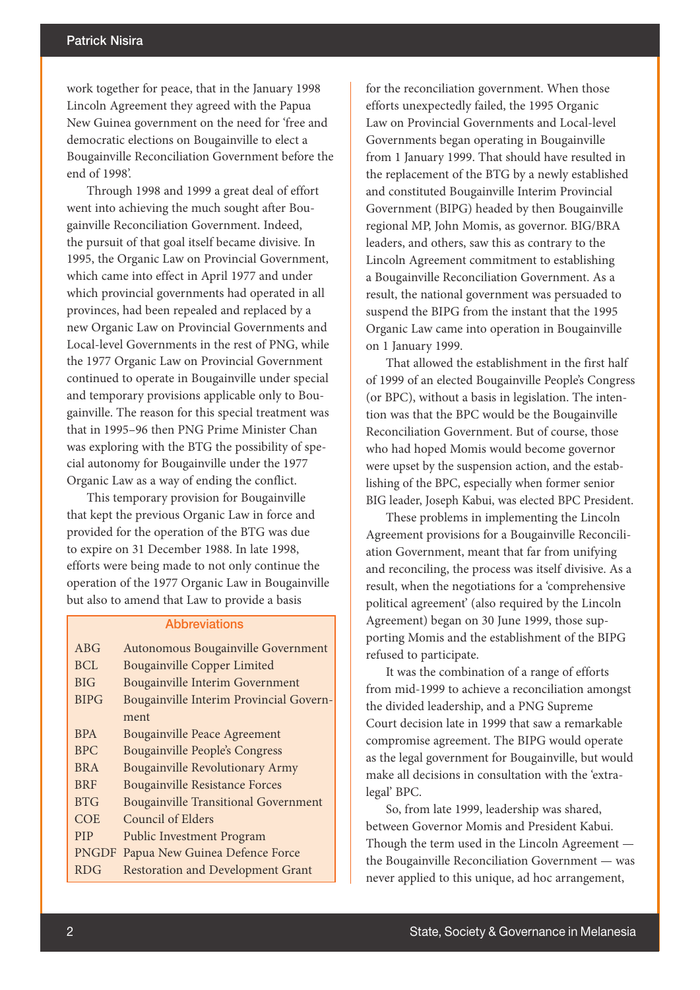work together for peace, that in the January 1998 Lincoln Agreement they agreed with the Papua New Guinea government on the need for 'free and democratic elections on Bougainville to elect a Bougainville Reconciliation Government before the end of 1998'.

Through 1998 and 1999 a great deal of effort went into achieving the much sought after Bougainville Reconciliation Government. Indeed, the pursuit of that goal itself became divisive. In 1995, the Organic Law on Provincial Government, which came into effect in April 1977 and under which provincial governments had operated in all provinces, had been repealed and replaced by a new Organic Law on Provincial Governments and Local-level Governments in the rest of PNG, while the 1977 Organic Law on Provincial Government continued to operate in Bougainville under special and temporary provisions applicable only to Bougainville. The reason for this special treatment was that in 1995–96 then PNG Prime Minister Chan was exploring with the BTG the possibility of special autonomy for Bougainville under the 1977 Organic Law as a way of ending the conflict.

This temporary provision for Bougainville that kept the previous Organic Law in force and provided for the operation of the BTG was due to expire on 31 December 1988. In late 1998, efforts were being made to not only continue the operation of the 1977 Organic Law in Bougainville but also to amend that Law to provide a basis

#### **Abbreviations**

| <b>ABG</b>   | Autonomous Bougainville Government          |
|--------------|---------------------------------------------|
| BCL          | <b>Bougainville Copper Limited</b>          |
| <b>BIG</b>   | <b>Bougainville Interim Government</b>      |
| <b>BIPG</b>  | Bougainville Interim Provincial Govern-     |
|              | ment                                        |
| <b>BPA</b>   | <b>Bougainville Peace Agreement</b>         |
| <b>BPC</b>   | <b>Bougainville People's Congress</b>       |
| <b>BRA</b>   | Bougainville Revolutionary Army             |
| <b>BRF</b>   | <b>Bougainville Resistance Forces</b>       |
| <b>BTG</b>   | <b>Bougainville Transitional Government</b> |
| COE          | <b>Council of Elders</b>                    |
| <b>PIP</b>   | <b>Public Investment Program</b>            |
| <b>PNGDF</b> | Papua New Guinea Defence Force              |
| <b>RDG</b>   | <b>Restoration and Development Grant</b>    |

for the reconciliation government. When those efforts unexpectedly failed, the 1995 Organic Law on Provincial Governments and Local-level Governments began operating in Bougainville from 1 January 1999. That should have resulted in the replacement of the BTG by a newly established and constituted Bougainville Interim Provincial Government (BIPG) headed by then Bougainville regional MP, John Momis, as governor. BIG/BRA leaders, and others, saw this as contrary to the Lincoln Agreement commitment to establishing a Bougainville Reconciliation Government. As a result, the national government was persuaded to suspend the BIPG from the instant that the 1995 Organic Law came into operation in Bougainville on 1 January 1999.

That allowed the establishment in the first half of 1999 of an elected Bougainville People's Congress (or BPC), without a basis in legislation. The intention was that the BPC would be the Bougainville Reconciliation Government. But of course, those who had hoped Momis would become governor were upset by the suspension action, and the establishing of the BPC, especially when former senior BIG leader, Joseph Kabui, was elected BPC President.

These problems in implementing the Lincoln Agreement provisions for a Bougainville Reconciliation Government, meant that far from unifying and reconciling, the process was itself divisive. As a result, when the negotiations for a 'comprehensive political agreement' (also required by the Lincoln Agreement) began on 30 June 1999, those supporting Momis and the establishment of the BIPG refused to participate.

It was the combination of a range of efforts from mid-1999 to achieve a reconciliation amongst the divided leadership, and a PNG Supreme Court decision late in 1999 that saw a remarkable compromise agreement. The BIPG would operate as the legal government for Bougainville, but would make all decisions in consultation with the 'extralegal' BPC.

So, from late 1999, leadership was shared, between Governor Momis and President Kabui. Though the term used in the Lincoln Agreement the Bougainville Reconciliation Government — was never applied to this unique, ad hoc arrangement,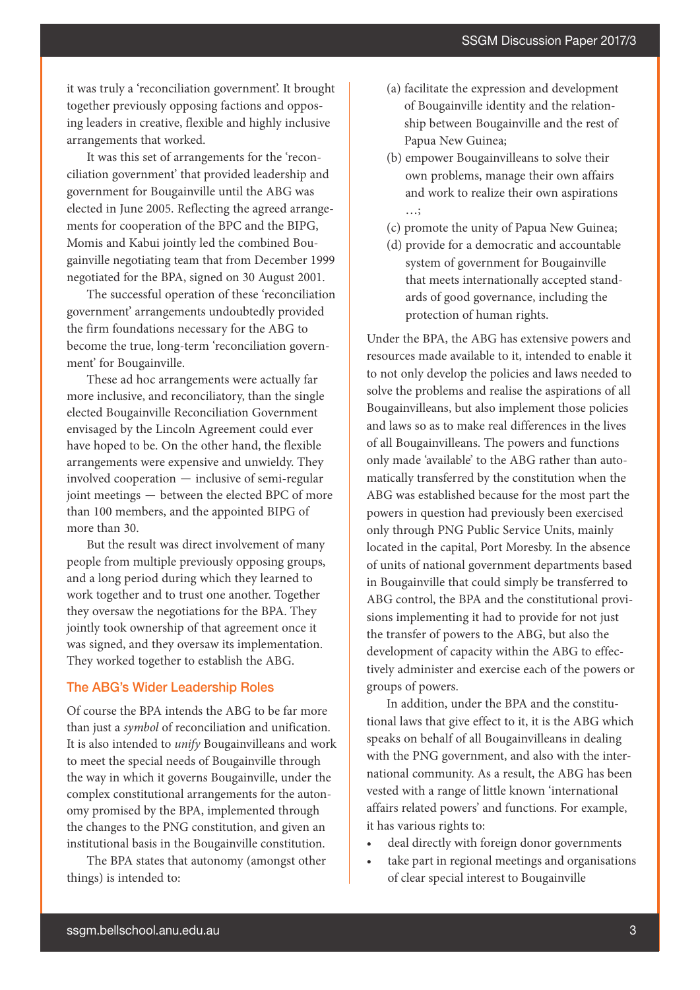it was truly a 'reconciliation government'. It brought together previously opposing factions and opposing leaders in creative, flexible and highly inclusive arrangements that worked.

It was this set of arrangements for the 'reconciliation government' that provided leadership and government for Bougainville until the ABG was elected in June 2005. Reflecting the agreed arrangements for cooperation of the BPC and the BIPG, Momis and Kabui jointly led the combined Bougainville negotiating team that from December 1999 negotiated for the BPA, signed on 30 August 2001.

The successful operation of these 'reconciliation government' arrangements undoubtedly provided the firm foundations necessary for the ABG to become the true, long-term 'reconciliation government' for Bougainville.

These ad hoc arrangements were actually far more inclusive, and reconciliatory, than the single elected Bougainville Reconciliation Government envisaged by the Lincoln Agreement could ever have hoped to be. On the other hand, the flexible arrangements were expensive and unwieldy. They involved cooperation — inclusive of semi-regular joint meetings — between the elected BPC of more than 100 members, and the appointed BIPG of more than 30.

But the result was direct involvement of many people from multiple previously opposing groups, and a long period during which they learned to work together and to trust one another. Together they oversaw the negotiations for the BPA. They jointly took ownership of that agreement once it was signed, and they oversaw its implementation. They worked together to establish the ABG.

#### The ABG's Wider Leadership Roles

Of course the BPA intends the ABG to be far more than just a *symbol* of reconciliation and unification. It is also intended to *unify* Bougainvilleans and work to meet the special needs of Bougainville through the way in which it governs Bougainville, under the complex constitutional arrangements for the autonomy promised by the BPA, implemented through the changes to the PNG constitution, and given an institutional basis in the Bougainville constitution.

The BPA states that autonomy (amongst other things) is intended to:

- (a) facilitate the expression and development of Bougainville identity and the relationship between Bougainville and the rest of Papua New Guinea;
- (b) empower Bougainvilleans to solve their own problems, manage their own affairs and work to realize their own aspirations …;
- (c) promote the unity of Papua New Guinea;
- (d) provide for a democratic and accountable system of government for Bougainville that meets internationally accepted standards of good governance, including the protection of human rights.

Under the BPA, the ABG has extensive powers and resources made available to it, intended to enable it to not only develop the policies and laws needed to solve the problems and realise the aspirations of all Bougainvilleans, but also implement those policies and laws so as to make real differences in the lives of all Bougainvilleans. The powers and functions only made 'available' to the ABG rather than automatically transferred by the constitution when the ABG was established because for the most part the powers in question had previously been exercised only through PNG Public Service Units, mainly located in the capital, Port Moresby. In the absence of units of national government departments based in Bougainville that could simply be transferred to ABG control, the BPA and the constitutional provisions implementing it had to provide for not just the transfer of powers to the ABG, but also the development of capacity within the ABG to effectively administer and exercise each of the powers or groups of powers.

In addition, under the BPA and the constitutional laws that give effect to it, it is the ABG which speaks on behalf of all Bougainvilleans in dealing with the PNG government, and also with the international community. As a result, the ABG has been vested with a range of little known 'international affairs related powers' and functions. For example, it has various rights to:

- deal directly with foreign donor governments
- take part in regional meetings and organisations of clear special interest to Bougainville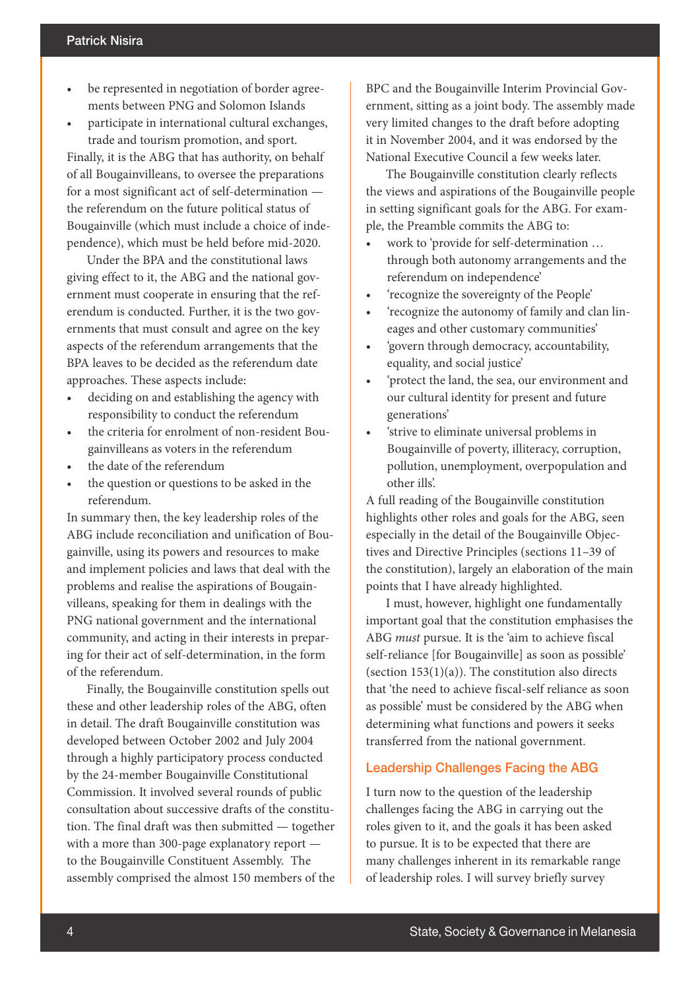- be represented in negotiation of border agreements between PNG and Solomon Islands
- participate in international cultural exchanges, trade and tourism promotion, and sport.

Finally, it is the ABG that has authority, on behalf of all Bougainvilleans, to oversee the preparations for a most significant act of self-determination the referendum on the future political status of Bougainville (which must include a choice of independence), which must be held before mid-2020.

Under the BPA and the constitutional laws giving effect to it, the ABG and the national government must cooperate in ensuring that the referendum is conducted. Further, it is the two governments that must consult and agree on the key aspects of the referendum arrangements that the BPA leaves to be decided as the referendum date approaches. These aspects include:

- deciding on and establishing the agency with responsibility to conduct the referendum
- the criteria for enrolment of non-resident Bougainvilleans as voters in the referendum
- the date of the referendum
- the question or questions to be asked in the referendum.

In summary then, the key leadership roles of the ABG include reconciliation and unification of Bougainville, using its powers and resources to make and implement policies and laws that deal with the problems and realise the aspirations of Bougainvilleans, speaking for them in dealings with the PNG national government and the international community, and acting in their interests in preparing for their act of self-determination, in the form of the referendum.

Finally, the Bougainville constitution spells out these and other leadership roles of the ABG, often in detail. The draft Bougainville constitution was developed between October 2002 and July 2004 through a highly participatory process conducted by the 24-member Bougainville Constitutional Commission. It involved several rounds of public consultation about successive drafts of the constitution. The final draft was then submitted — together with a more than 300-page explanatory report to the Bougainville Constituent Assembly. The assembly comprised the almost 150 members of the BPC and the Bougainville Interim Provincial Government, sitting as a joint body. The assembly made very limited changes to the draft before adopting it in November 2004, and it was endorsed by the National Executive Council a few weeks later.

The Bougainville constitution clearly reflects the views and aspirations of the Bougainville people in setting significant goals for the ABG. For example, the Preamble commits the ABG to:

- work to 'provide for self-determination … through both autonomy arrangements and the referendum on independence'
- 'recognize the sovereignty of the People'
- 'recognize the autonomy of family and clan lineages and other customary communities'
- 'govern through democracy, accountability, equality, and social justice'
- 'protect the land, the sea, our environment and our cultural identity for present and future generations'
- 'strive to eliminate universal problems in Bougainville of poverty, illiteracy, corruption, pollution, unemployment, overpopulation and other ills'.

A full reading of the Bougainville constitution highlights other roles and goals for the ABG, seen especially in the detail of the Bougainville Objectives and Directive Principles (sections 11–39 of the constitution), largely an elaboration of the main points that I have already highlighted.

I must, however, highlight one fundamentally important goal that the constitution emphasises the ABG *must* pursue. It is the 'aim to achieve fiscal self-reliance [for Bougainville] as soon as possible' (section  $153(1)(a)$ ). The constitution also directs that 'the need to achieve fiscal-self reliance as soon as possible' must be considered by the ABG when determining what functions and powers it seeks transferred from the national government.

#### Leadership Challenges Facing the ABG

I turn now to the question of the leadership challenges facing the ABG in carrying out the roles given to it, and the goals it has been asked to pursue. It is to be expected that there are many challenges inherent in its remarkable range of leadership roles. I will survey briefly survey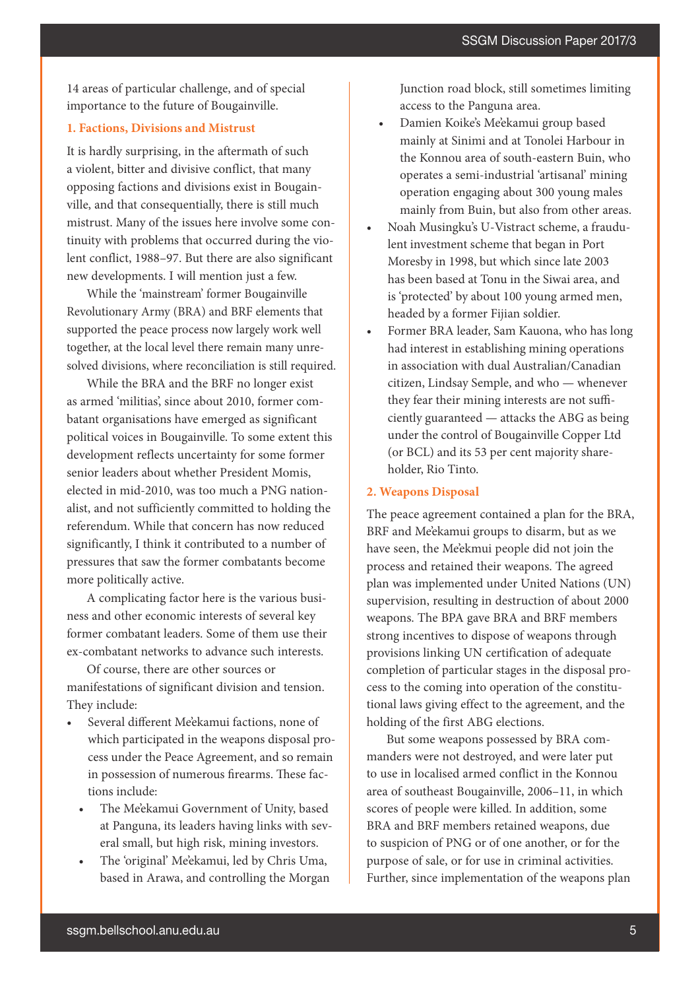14 areas of particular challenge, and of special importance to the future of Bougainville.

#### **1. Factions, Divisions and Mistrust**

It is hardly surprising, in the aftermath of such a violent, bitter and divisive conflict, that many opposing factions and divisions exist in Bougainville, and that consequentially, there is still much mistrust. Many of the issues here involve some continuity with problems that occurred during the violent conflict, 1988–97. But there are also significant new developments. I will mention just a few.

While the 'mainstream' former Bougainville Revolutionary Army (BRA) and BRF elements that supported the peace process now largely work well together, at the local level there remain many unresolved divisions, where reconciliation is still required.

While the BRA and the BRF no longer exist as armed 'militias', since about 2010, former combatant organisations have emerged as significant political voices in Bougainville. To some extent this development reflects uncertainty for some former senior leaders about whether President Momis, elected in mid-2010, was too much a PNG nationalist, and not sufficiently committed to holding the referendum. While that concern has now reduced significantly, I think it contributed to a number of pressures that saw the former combatants become more politically active.

A complicating factor here is the various business and other economic interests of several key former combatant leaders. Some of them use their ex-combatant networks to advance such interests.

Of course, there are other sources or manifestations of significant division and tension. They include:

- Several different Me'ekamui factions, none of which participated in the weapons disposal process under the Peace Agreement, and so remain in possession of numerous firearms. These factions include:
	- The Me'ekamui Government of Unity, based at Panguna, its leaders having links with several small, but high risk, mining investors.
	- The 'original' Me'ekamui, led by Chris Uma, based in Arawa, and controlling the Morgan

Junction road block, still sometimes limiting access to the Panguna area.

- Damien Koike's Me'ekamui group based mainly at Sinimi and at Tonolei Harbour in the Konnou area of south-eastern Buin, who operates a semi-industrial 'artisanal' mining operation engaging about 300 young males mainly from Buin, but also from other areas.
- Noah Musingku's U-Vistract scheme, a fraudulent investment scheme that began in Port Moresby in 1998, but which since late 2003 has been based at Tonu in the Siwai area, and is 'protected' by about 100 young armed men, headed by a former Fijian soldier.
- Former BRA leader, Sam Kauona, who has long had interest in establishing mining operations in association with dual Australian/Canadian citizen, Lindsay Semple, and who — whenever they fear their mining interests are not sufficiently guaranteed — attacks the ABG as being under the control of Bougainville Copper Ltd (or BCL) and its 53 per cent majority shareholder, Rio Tinto.

#### **2. Weapons Disposal**

The peace agreement contained a plan for the BRA, BRF and Me'ekamui groups to disarm, but as we have seen, the Me'ekmui people did not join the process and retained their weapons. The agreed plan was implemented under United Nations (UN) supervision, resulting in destruction of about 2000 weapons. The BPA gave BRA and BRF members strong incentives to dispose of weapons through provisions linking UN certification of adequate completion of particular stages in the disposal process to the coming into operation of the constitutional laws giving effect to the agreement, and the holding of the first ABG elections.

But some weapons possessed by BRA commanders were not destroyed, and were later put to use in localised armed conflict in the Konnou area of southeast Bougainville, 2006–11, in which scores of people were killed. In addition, some BRA and BRF members retained weapons, due to suspicion of PNG or of one another, or for the purpose of sale, or for use in criminal activities. Further, since implementation of the weapons plan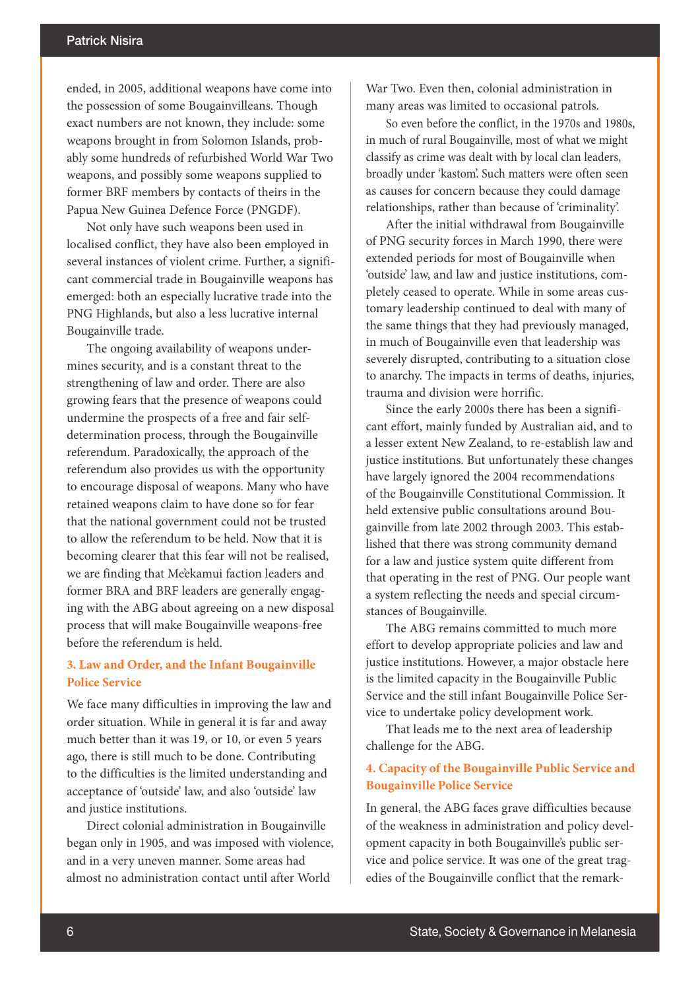ended, in 2005, additional weapons have come into the possession of some Bougainvilleans. Though exact numbers are not known, they include: some weapons brought in from Solomon Islands, probably some hundreds of refurbished World War Two weapons, and possibly some weapons supplied to former BRF members by contacts of theirs in the Papua New Guinea Defence Force (PNGDF).

Not only have such weapons been used in localised conflict, they have also been employed in several instances of violent crime. Further, a significant commercial trade in Bougainville weapons has emerged: both an especially lucrative trade into the PNG Highlands, but also a less lucrative internal Bougainville trade.

The ongoing availability of weapons undermines security, and is a constant threat to the strengthening of law and order. There are also growing fears that the presence of weapons could undermine the prospects of a free and fair selfdetermination process, through the Bougainville referendum. Paradoxically, the approach of the referendum also provides us with the opportunity to encourage disposal of weapons. Many who have retained weapons claim to have done so for fear that the national government could not be trusted to allow the referendum to be held. Now that it is becoming clearer that this fear will not be realised, we are finding that Me'ekamui faction leaders and former BRA and BRF leaders are generally engaging with the ABG about agreeing on a new disposal process that will make Bougainville weapons-free before the referendum is held.

# **3. Law and Order, and the Infant Bougainville Police Service**

We face many difficulties in improving the law and order situation. While in general it is far and away much better than it was 19, or 10, or even 5 years ago, there is still much to be done. Contributing to the difficulties is the limited understanding and acceptance of 'outside' law, and also 'outside' law and justice institutions.

Direct colonial administration in Bougainville began only in 1905, and was imposed with violence, and in a very uneven manner. Some areas had almost no administration contact until after World

War Two. Even then, colonial administration in many areas was limited to occasional patrols.

So even before the conflict, in the 1970s and 1980s, in much of rural Bougainville, most of what we might classify as crime was dealt with by local clan leaders, broadly under 'kastom'. Such matters were often seen as causes for concern because they could damage relationships, rather than because of 'criminality'.

After the initial withdrawal from Bougainville of PNG security forces in March 1990, there were extended periods for most of Bougainville when 'outside' law, and law and justice institutions, completely ceased to operate. While in some areas customary leadership continued to deal with many of the same things that they had previously managed, in much of Bougainville even that leadership was severely disrupted, contributing to a situation close to anarchy. The impacts in terms of deaths, injuries, trauma and division were horrific.

Since the early 2000s there has been a significant effort, mainly funded by Australian aid, and to a lesser extent New Zealand, to re-establish law and justice institutions. But unfortunately these changes have largely ignored the 2004 recommendations of the Bougainville Constitutional Commission. It held extensive public consultations around Bougainville from late 2002 through 2003. This established that there was strong community demand for a law and justice system quite different from that operating in the rest of PNG. Our people want a system reflecting the needs and special circumstances of Bougainville.

The ABG remains committed to much more effort to develop appropriate policies and law and justice institutions. However, a major obstacle here is the limited capacity in the Bougainville Public Service and the still infant Bougainville Police Service to undertake policy development work.

That leads me to the next area of leadership challenge for the ABG.

# **4. Capacity of the Bougainville Public Service and Bougainville Police Service**

In general, the ABG faces grave difficulties because of the weakness in administration and policy development capacity in both Bougainville's public service and police service. It was one of the great tragedies of the Bougainville conflict that the remark-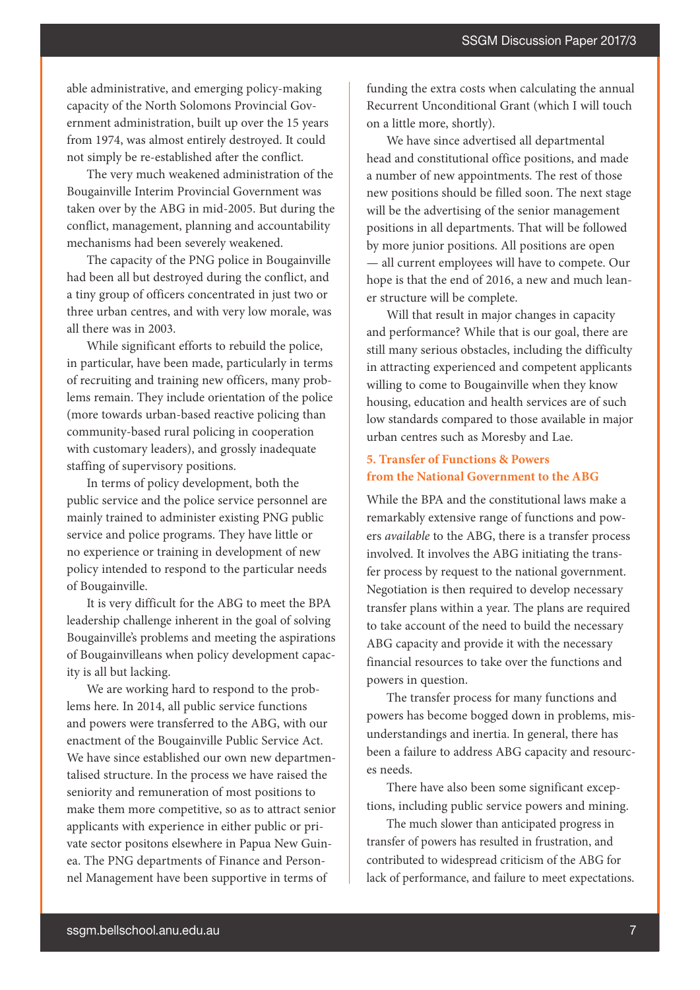able administrative, and emerging policy-making capacity of the North Solomons Provincial Government administration, built up over the 15 years from 1974, was almost entirely destroyed. It could not simply be re-established after the conflict.

The very much weakened administration of the Bougainville Interim Provincial Government was taken over by the ABG in mid-2005. But during the conflict, management, planning and accountability mechanisms had been severely weakened.

The capacity of the PNG police in Bougainville had been all but destroyed during the conflict, and a tiny group of officers concentrated in just two or three urban centres, and with very low morale, was all there was in 2003.

While significant efforts to rebuild the police, in particular, have been made, particularly in terms of recruiting and training new officers, many problems remain. They include orientation of the police (more towards urban-based reactive policing than community-based rural policing in cooperation with customary leaders), and grossly inadequate staffing of supervisory positions.

In terms of policy development, both the public service and the police service personnel are mainly trained to administer existing PNG public service and police programs. They have little or no experience or training in development of new policy intended to respond to the particular needs of Bougainville.

It is very difficult for the ABG to meet the BPA leadership challenge inherent in the goal of solving Bougainville's problems and meeting the aspirations of Bougainvilleans when policy development capacity is all but lacking.

We are working hard to respond to the problems here. In 2014, all public service functions and powers were transferred to the ABG, with our enactment of the Bougainville Public Service Act. We have since established our own new departmentalised structure. In the process we have raised the seniority and remuneration of most positions to make them more competitive, so as to attract senior applicants with experience in either public or private sector positons elsewhere in Papua New Guinea. The PNG departments of Finance and Personnel Management have been supportive in terms of

funding the extra costs when calculating the annual Recurrent Unconditional Grant (which I will touch on a little more, shortly).

We have since advertised all departmental head and constitutional office positions, and made a number of new appointments. The rest of those new positions should be filled soon. The next stage will be the advertising of the senior management positions in all departments. That will be followed by more junior positions. All positions are open — all current employees will have to compete. Our hope is that the end of 2016, a new and much leaner structure will be complete.

Will that result in major changes in capacity and performance? While that is our goal, there are still many serious obstacles, including the difficulty in attracting experienced and competent applicants willing to come to Bougainville when they know housing, education and health services are of such low standards compared to those available in major urban centres such as Moresby and Lae.

# **5. Transfer of Functions & Powers from the National Government to the ABG**

While the BPA and the constitutional laws make a remarkably extensive range of functions and powers *available* to the ABG, there is a transfer process involved. It involves the ABG initiating the transfer process by request to the national government. Negotiation is then required to develop necessary transfer plans within a year. The plans are required to take account of the need to build the necessary ABG capacity and provide it with the necessary financial resources to take over the functions and powers in question.

The transfer process for many functions and powers has become bogged down in problems, misunderstandings and inertia. In general, there has been a failure to address ABG capacity and resources needs.

There have also been some significant exceptions, including public service powers and mining.

The much slower than anticipated progress in transfer of powers has resulted in frustration, and contributed to widespread criticism of the ABG for lack of performance, and failure to meet expectations.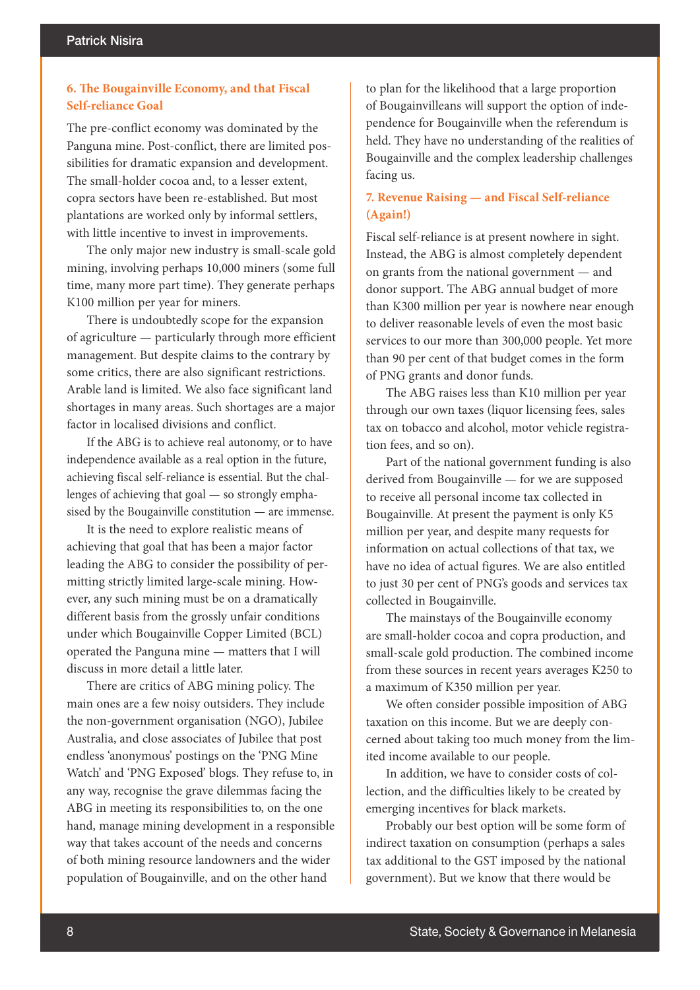# **6. The Bougainville Economy, and that Fiscal Self-reliance Goal**

The pre-conflict economy was dominated by the Panguna mine. Post-conflict, there are limited possibilities for dramatic expansion and development. The small-holder cocoa and, to a lesser extent, copra sectors have been re-established. But most plantations are worked only by informal settlers, with little incentive to invest in improvements.

The only major new industry is small-scale gold mining, involving perhaps 10,000 miners (some full time, many more part time). They generate perhaps K100 million per year for miners.

There is undoubtedly scope for the expansion of agriculture — particularly through more efficient management. But despite claims to the contrary by some critics, there are also significant restrictions. Arable land is limited. We also face significant land shortages in many areas. Such shortages are a major factor in localised divisions and conflict.

If the ABG is to achieve real autonomy, or to have independence available as a real option in the future, achieving fiscal self-reliance is essential. But the challenges of achieving that goal — so strongly emphasised by the Bougainville constitution — are immense.

It is the need to explore realistic means of achieving that goal that has been a major factor leading the ABG to consider the possibility of permitting strictly limited large-scale mining. However, any such mining must be on a dramatically different basis from the grossly unfair conditions under which Bougainville Copper Limited (BCL) operated the Panguna mine — matters that I will discuss in more detail a little later.

There are critics of ABG mining policy. The main ones are a few noisy outsiders. They include the non-government organisation (NGO), Jubilee Australia, and close associates of Jubilee that post endless 'anonymous' postings on the 'PNG Mine Watch' and 'PNG Exposed' blogs. They refuse to, in any way, recognise the grave dilemmas facing the ABG in meeting its responsibilities to, on the one hand, manage mining development in a responsible way that takes account of the needs and concerns of both mining resource landowners and the wider population of Bougainville, and on the other hand

to plan for the likelihood that a large proportion of Bougainvilleans will support the option of independence for Bougainville when the referendum is held. They have no understanding of the realities of Bougainville and the complex leadership challenges facing us.

## **7. Revenue Raising — and Fiscal Self-reliance (Again!)**

Fiscal self-reliance is at present nowhere in sight. Instead, the ABG is almost completely dependent on grants from the national government — and donor support. The ABG annual budget of more than K300 million per year is nowhere near enough to deliver reasonable levels of even the most basic services to our more than 300,000 people. Yet more than 90 per cent of that budget comes in the form of PNG grants and donor funds.

The ABG raises less than K10 million per year through our own taxes (liquor licensing fees, sales tax on tobacco and alcohol, motor vehicle registration fees, and so on).

Part of the national government funding is also derived from Bougainville — for we are supposed to receive all personal income tax collected in Bougainville. At present the payment is only K5 million per year, and despite many requests for information on actual collections of that tax, we have no idea of actual figures. We are also entitled to just 30 per cent of PNG's goods and services tax collected in Bougainville.

The mainstays of the Bougainville economy are small-holder cocoa and copra production, and small-scale gold production. The combined income from these sources in recent years averages K250 to a maximum of K350 million per year.

We often consider possible imposition of ABG taxation on this income. But we are deeply concerned about taking too much money from the limited income available to our people.

In addition, we have to consider costs of collection, and the difficulties likely to be created by emerging incentives for black markets.

Probably our best option will be some form of indirect taxation on consumption (perhaps a sales tax additional to the GST imposed by the national government). But we know that there would be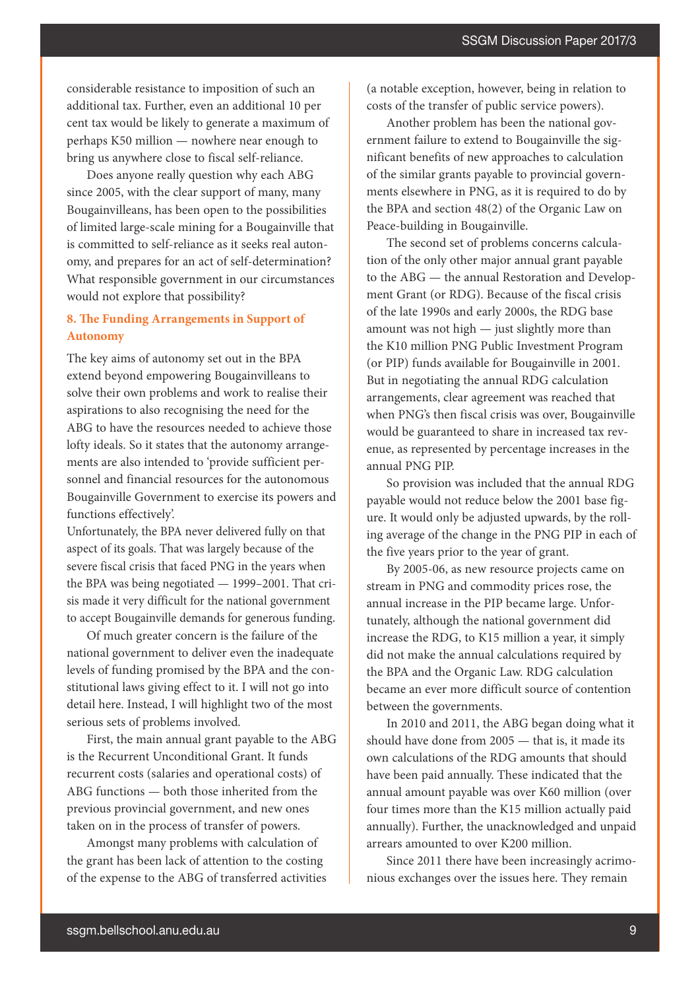considerable resistance to imposition of such an additional tax. Further, even an additional 10 per cent tax would be likely to generate a maximum of perhaps K50 million — nowhere near enough to bring us anywhere close to fiscal self-reliance.

Does anyone really question why each ABG since 2005, with the clear support of many, many Bougainvilleans, has been open to the possibilities of limited large-scale mining for a Bougainville that is committed to self-reliance as it seeks real autonomy, and prepares for an act of self-determination? What responsible government in our circumstances would not explore that possibility?

# **8. The Funding Arrangements in Support of Autonomy**

The key aims of autonomy set out in the BPA extend beyond empowering Bougainvilleans to solve their own problems and work to realise their aspirations to also recognising the need for the ABG to have the resources needed to achieve those lofty ideals. So it states that the autonomy arrangements are also intended to 'provide sufficient personnel and financial resources for the autonomous Bougainville Government to exercise its powers and functions effectively'.

Unfortunately, the BPA never delivered fully on that aspect of its goals. That was largely because of the severe fiscal crisis that faced PNG in the years when the BPA was being negotiated — 1999–2001. That crisis made it very difficult for the national government to accept Bougainville demands for generous funding.

Of much greater concern is the failure of the national government to deliver even the inadequate levels of funding promised by the BPA and the constitutional laws giving effect to it. I will not go into detail here. Instead, I will highlight two of the most serious sets of problems involved.

First, the main annual grant payable to the ABG is the Recurrent Unconditional Grant. It funds recurrent costs (salaries and operational costs) of ABG functions — both those inherited from the previous provincial government, and new ones taken on in the process of transfer of powers.

Amongst many problems with calculation of the grant has been lack of attention to the costing of the expense to the ABG of transferred activities (a notable exception, however, being in relation to costs of the transfer of public service powers).

Another problem has been the national government failure to extend to Bougainville the significant benefits of new approaches to calculation of the similar grants payable to provincial governments elsewhere in PNG, as it is required to do by the BPA and section 48(2) of the Organic Law on Peace-building in Bougainville.

The second set of problems concerns calculation of the only other major annual grant payable to the ABG — the annual Restoration and Development Grant (or RDG). Because of the fiscal crisis of the late 1990s and early 2000s, the RDG base amount was not high — just slightly more than the K10 million PNG Public Investment Program (or PIP) funds available for Bougainville in 2001. But in negotiating the annual RDG calculation arrangements, clear agreement was reached that when PNG's then fiscal crisis was over, Bougainville would be guaranteed to share in increased tax revenue, as represented by percentage increases in the annual PNG PIP.

So provision was included that the annual RDG payable would not reduce below the 2001 base figure. It would only be adjusted upwards, by the rolling average of the change in the PNG PIP in each of the five years prior to the year of grant.

By 2005-06, as new resource projects came on stream in PNG and commodity prices rose, the annual increase in the PIP became large. Unfortunately, although the national government did increase the RDG, to K15 million a year, it simply did not make the annual calculations required by the BPA and the Organic Law. RDG calculation became an ever more difficult source of contention between the governments.

In 2010 and 2011, the ABG began doing what it should have done from 2005 — that is, it made its own calculations of the RDG amounts that should have been paid annually. These indicated that the annual amount payable was over K60 million (over four times more than the K15 million actually paid annually). Further, the unacknowledged and unpaid arrears amounted to over K200 million.

Since 2011 there have been increasingly acrimonious exchanges over the issues here. They remain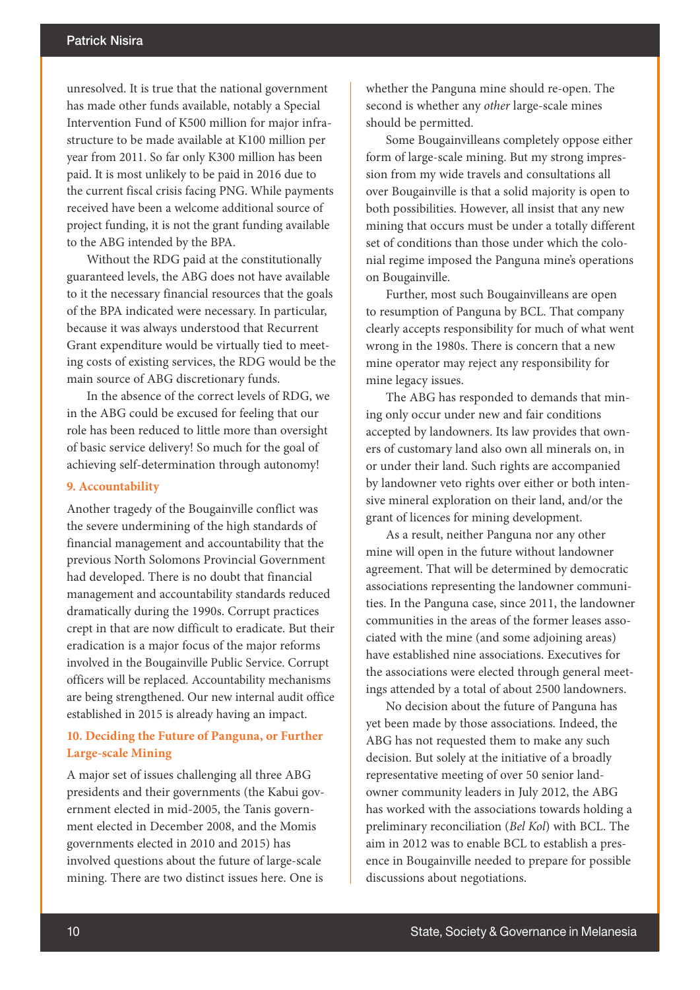unresolved. It is true that the national government has made other funds available, notably a Special Intervention Fund of K500 million for major infrastructure to be made available at K100 million per year from 2011. So far only K300 million has been paid. It is most unlikely to be paid in 2016 due to the current fiscal crisis facing PNG. While payments received have been a welcome additional source of project funding, it is not the grant funding available to the ABG intended by the BPA.

Without the RDG paid at the constitutionally guaranteed levels, the ABG does not have available to it the necessary financial resources that the goals of the BPA indicated were necessary. In particular, because it was always understood that Recurrent Grant expenditure would be virtually tied to meeting costs of existing services, the RDG would be the main source of ABG discretionary funds.

In the absence of the correct levels of RDG, we in the ABG could be excused for feeling that our role has been reduced to little more than oversight of basic service delivery! So much for the goal of achieving self-determination through autonomy!

#### **9. Accountability**

Another tragedy of the Bougainville conflict was the severe undermining of the high standards of financial management and accountability that the previous North Solomons Provincial Government had developed. There is no doubt that financial management and accountability standards reduced dramatically during the 1990s. Corrupt practices crept in that are now difficult to eradicate. But their eradication is a major focus of the major reforms involved in the Bougainville Public Service. Corrupt officers will be replaced. Accountability mechanisms are being strengthened. Our new internal audit office established in 2015 is already having an impact.

## **10. Deciding the Future of Panguna, or Further Large-scale Mining**

A major set of issues challenging all three ABG presidents and their governments (the Kabui government elected in mid-2005, the Tanis government elected in December 2008, and the Momis governments elected in 2010 and 2015) has involved questions about the future of large-scale mining. There are two distinct issues here. One is

whether the Panguna mine should re-open. The second is whether any *other* large-scale mines should be permitted.

Some Bougainvilleans completely oppose either form of large-scale mining. But my strong impression from my wide travels and consultations all over Bougainville is that a solid majority is open to both possibilities. However, all insist that any new mining that occurs must be under a totally different set of conditions than those under which the colonial regime imposed the Panguna mine's operations on Bougainville.

Further, most such Bougainvilleans are open to resumption of Panguna by BCL. That company clearly accepts responsibility for much of what went wrong in the 1980s. There is concern that a new mine operator may reject any responsibility for mine legacy issues.

The ABG has responded to demands that mining only occur under new and fair conditions accepted by landowners. Its law provides that owners of customary land also own all minerals on, in or under their land. Such rights are accompanied by landowner veto rights over either or both intensive mineral exploration on their land, and/or the grant of licences for mining development.

As a result, neither Panguna nor any other mine will open in the future without landowner agreement. That will be determined by democratic associations representing the landowner communities. In the Panguna case, since 2011, the landowner communities in the areas of the former leases associated with the mine (and some adjoining areas) have established nine associations. Executives for the associations were elected through general meetings attended by a total of about 2500 landowners.

No decision about the future of Panguna has yet been made by those associations. Indeed, the ABG has not requested them to make any such decision. But solely at the initiative of a broadly representative meeting of over 50 senior landowner community leaders in July 2012, the ABG has worked with the associations towards holding a preliminary reconciliation (*Bel Kol*) with BCL. The aim in 2012 was to enable BCL to establish a presence in Bougainville needed to prepare for possible discussions about negotiations.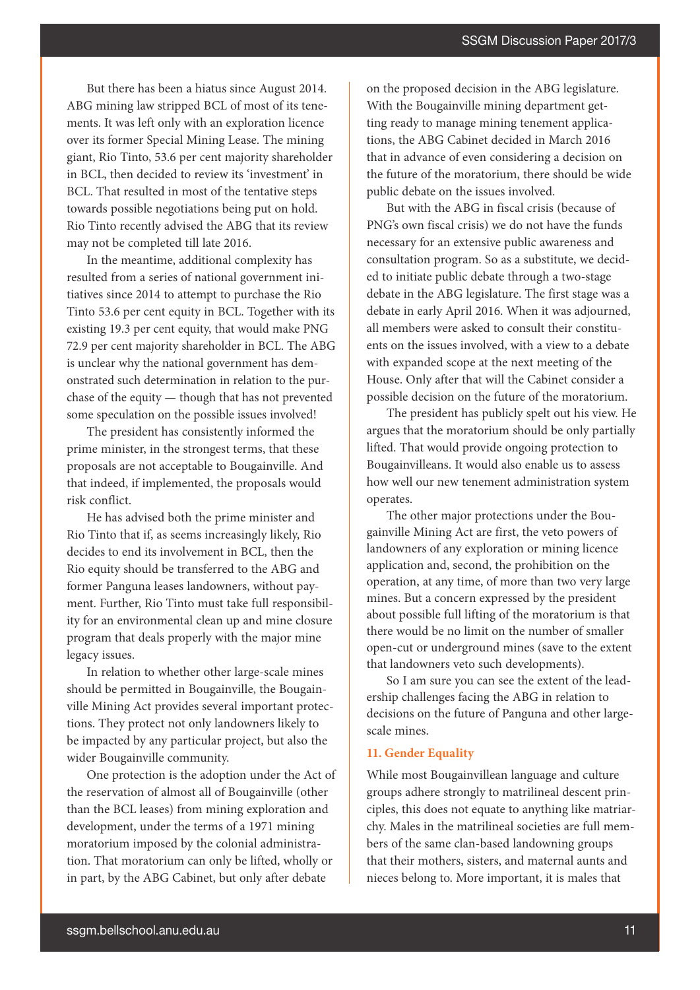But there has been a hiatus since August 2014. ABG mining law stripped BCL of most of its tenements. It was left only with an exploration licence over its former Special Mining Lease. The mining giant, Rio Tinto, 53.6 per cent majority shareholder in BCL, then decided to review its 'investment' in BCL. That resulted in most of the tentative steps towards possible negotiations being put on hold. Rio Tinto recently advised the ABG that its review may not be completed till late 2016.

In the meantime, additional complexity has resulted from a series of national government initiatives since 2014 to attempt to purchase the Rio Tinto 53.6 per cent equity in BCL. Together with its existing 19.3 per cent equity, that would make PNG 72.9 per cent majority shareholder in BCL. The ABG is unclear why the national government has demonstrated such determination in relation to the purchase of the equity — though that has not prevented some speculation on the possible issues involved!

The president has consistently informed the prime minister, in the strongest terms, that these proposals are not acceptable to Bougainville. And that indeed, if implemented, the proposals would risk conflict.

He has advised both the prime minister and Rio Tinto that if, as seems increasingly likely, Rio decides to end its involvement in BCL, then the Rio equity should be transferred to the ABG and former Panguna leases landowners, without payment. Further, Rio Tinto must take full responsibility for an environmental clean up and mine closure program that deals properly with the major mine legacy issues.

In relation to whether other large-scale mines should be permitted in Bougainville, the Bougainville Mining Act provides several important protections. They protect not only landowners likely to be impacted by any particular project, but also the wider Bougainville community.

One protection is the adoption under the Act of the reservation of almost all of Bougainville (other than the BCL leases) from mining exploration and development, under the terms of a 1971 mining moratorium imposed by the colonial administration. That moratorium can only be lifted, wholly or in part, by the ABG Cabinet, but only after debate

on the proposed decision in the ABG legislature. With the Bougainville mining department getting ready to manage mining tenement applications, the ABG Cabinet decided in March 2016 that in advance of even considering a decision on the future of the moratorium, there should be wide public debate on the issues involved.

But with the ABG in fiscal crisis (because of PNG's own fiscal crisis) we do not have the funds necessary for an extensive public awareness and consultation program. So as a substitute, we decided to initiate public debate through a two-stage debate in the ABG legislature. The first stage was a debate in early April 2016. When it was adjourned, all members were asked to consult their constituents on the issues involved, with a view to a debate with expanded scope at the next meeting of the House. Only after that will the Cabinet consider a possible decision on the future of the moratorium.

The president has publicly spelt out his view. He argues that the moratorium should be only partially lifted. That would provide ongoing protection to Bougainvilleans. It would also enable us to assess how well our new tenement administration system operates.

The other major protections under the Bougainville Mining Act are first, the veto powers of landowners of any exploration or mining licence application and, second, the prohibition on the operation, at any time, of more than two very large mines. But a concern expressed by the president about possible full lifting of the moratorium is that there would be no limit on the number of smaller open-cut or underground mines (save to the extent that landowners veto such developments).

So I am sure you can see the extent of the leadership challenges facing the ABG in relation to decisions on the future of Panguna and other largescale mines.

# **11. Gender Equality**

While most Bougainvillean language and culture groups adhere strongly to matrilineal descent principles, this does not equate to anything like matriarchy. Males in the matrilineal societies are full members of the same clan-based landowning groups that their mothers, sisters, and maternal aunts and nieces belong to. More important, it is males that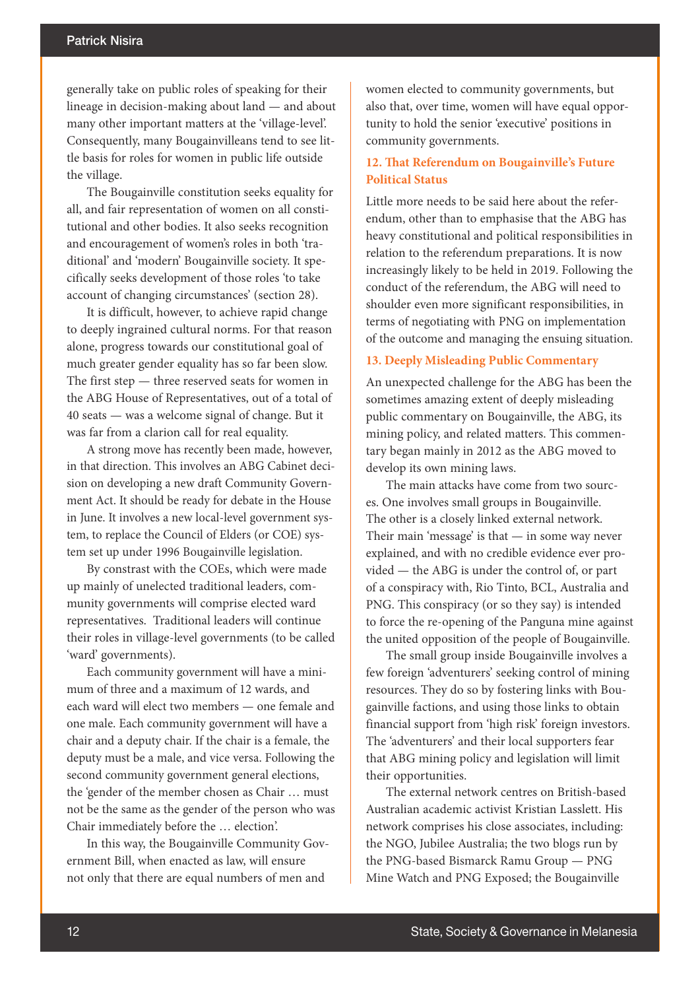generally take on public roles of speaking for their lineage in decision-making about land — and about many other important matters at the 'village-level'. Consequently, many Bougainvilleans tend to see little basis for roles for women in public life outside the village.

The Bougainville constitution seeks equality for all, and fair representation of women on all constitutional and other bodies. It also seeks recognition and encouragement of women's roles in both 'traditional' and 'modern' Bougainville society. It specifically seeks development of those roles 'to take account of changing circumstances' (section 28).

It is difficult, however, to achieve rapid change to deeply ingrained cultural norms. For that reason alone, progress towards our constitutional goal of much greater gender equality has so far been slow. The first step — three reserved seats for women in the ABG House of Representatives, out of a total of 40 seats — was a welcome signal of change. But it was far from a clarion call for real equality.

A strong move has recently been made, however, in that direction. This involves an ABG Cabinet decision on developing a new draft Community Government Act. It should be ready for debate in the House in June. It involves a new local-level government system, to replace the Council of Elders (or COE) system set up under 1996 Bougainville legislation.

By constrast with the COEs, which were made up mainly of unelected traditional leaders, community governments will comprise elected ward representatives. Traditional leaders will continue their roles in village-level governments (to be called 'ward' governments).

Each community government will have a minimum of three and a maximum of 12 wards, and each ward will elect two members — one female and one male. Each community government will have a chair and a deputy chair. If the chair is a female, the deputy must be a male, and vice versa. Following the second community government general elections, the 'gender of the member chosen as Chair … must not be the same as the gender of the person who was Chair immediately before the … election'.

In this way, the Bougainville Community Government Bill, when enacted as law, will ensure not only that there are equal numbers of men and

women elected to community governments, but also that, over time, women will have equal opportunity to hold the senior 'executive' positions in community governments.

## **12. That Referendum on Bougainville's Future Political Status**

Little more needs to be said here about the referendum, other than to emphasise that the ABG has heavy constitutional and political responsibilities in relation to the referendum preparations. It is now increasingly likely to be held in 2019. Following the conduct of the referendum, the ABG will need to shoulder even more significant responsibilities, in terms of negotiating with PNG on implementation of the outcome and managing the ensuing situation.

#### **13. Deeply Misleading Public Commentary**

An unexpected challenge for the ABG has been the sometimes amazing extent of deeply misleading public commentary on Bougainville, the ABG, its mining policy, and related matters. This commentary began mainly in 2012 as the ABG moved to develop its own mining laws.

The main attacks have come from two sources. One involves small groups in Bougainville. The other is a closely linked external network. Their main 'message' is that  $-$  in some way never explained, and with no credible evidence ever provided — the ABG is under the control of, or part of a conspiracy with, Rio Tinto, BCL, Australia and PNG. This conspiracy (or so they say) is intended to force the re-opening of the Panguna mine against the united opposition of the people of Bougainville.

The small group inside Bougainville involves a few foreign 'adventurers' seeking control of mining resources. They do so by fostering links with Bougainville factions, and using those links to obtain financial support from 'high risk' foreign investors. The 'adventurers' and their local supporters fear that ABG mining policy and legislation will limit their opportunities.

The external network centres on British-based Australian academic activist Kristian Lasslett. His network comprises his close associates, including: the NGO, Jubilee Australia; the two blogs run by the PNG-based Bismarck Ramu Group — PNG Mine Watch and PNG Exposed; the Bougainville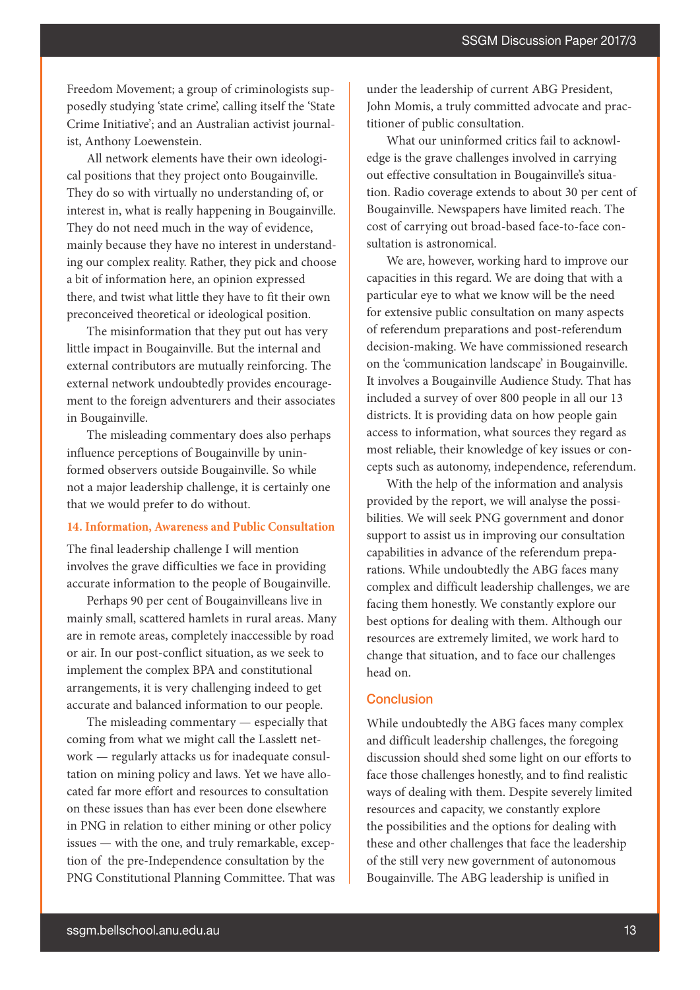Freedom Movement; a group of criminologists supposedly studying 'state crime', calling itself the 'State Crime Initiative'; and an Australian activist journalist, Anthony Loewenstein.

All network elements have their own ideological positions that they project onto Bougainville. They do so with virtually no understanding of, or interest in, what is really happening in Bougainville. They do not need much in the way of evidence, mainly because they have no interest in understanding our complex reality. Rather, they pick and choose a bit of information here, an opinion expressed there, and twist what little they have to fit their own preconceived theoretical or ideological position.

The misinformation that they put out has very little impact in Bougainville. But the internal and external contributors are mutually reinforcing. The external network undoubtedly provides encouragement to the foreign adventurers and their associates in Bougainville.

The misleading commentary does also perhaps influence perceptions of Bougainville by uninformed observers outside Bougainville. So while not a major leadership challenge, it is certainly one that we would prefer to do without.

#### **14. Information, Awareness and Public Consultation**

The final leadership challenge I will mention involves the grave difficulties we face in providing accurate information to the people of Bougainville.

Perhaps 90 per cent of Bougainvilleans live in mainly small, scattered hamlets in rural areas. Many are in remote areas, completely inaccessible by road or air. In our post-conflict situation, as we seek to implement the complex BPA and constitutional arrangements, it is very challenging indeed to get accurate and balanced information to our people.

The misleading commentary — especially that coming from what we might call the Lasslett network — regularly attacks us for inadequate consultation on mining policy and laws. Yet we have allocated far more effort and resources to consultation on these issues than has ever been done elsewhere in PNG in relation to either mining or other policy issues — with the one, and truly remarkable, exception of the pre-Independence consultation by the PNG Constitutional Planning Committee. That was under the leadership of current ABG President, John Momis, a truly committed advocate and practitioner of public consultation.

What our uninformed critics fail to acknowledge is the grave challenges involved in carrying out effective consultation in Bougainville's situation. Radio coverage extends to about 30 per cent of Bougainville. Newspapers have limited reach. The cost of carrying out broad-based face-to-face consultation is astronomical.

We are, however, working hard to improve our capacities in this regard. We are doing that with a particular eye to what we know will be the need for extensive public consultation on many aspects of referendum preparations and post-referendum decision-making. We have commissioned research on the 'communication landscape' in Bougainville. It involves a Bougainville Audience Study. That has included a survey of over 800 people in all our 13 districts. It is providing data on how people gain access to information, what sources they regard as most reliable, their knowledge of key issues or concepts such as autonomy, independence, referendum.

With the help of the information and analysis provided by the report, we will analyse the possibilities. We will seek PNG government and donor support to assist us in improving our consultation capabilities in advance of the referendum preparations. While undoubtedly the ABG faces many complex and difficult leadership challenges, we are facing them honestly. We constantly explore our best options for dealing with them. Although our resources are extremely limited, we work hard to change that situation, and to face our challenges head on.

#### **Conclusion**

While undoubtedly the ABG faces many complex and difficult leadership challenges, the foregoing discussion should shed some light on our efforts to face those challenges honestly, and to find realistic ways of dealing with them. Despite severely limited resources and capacity, we constantly explore the possibilities and the options for dealing with these and other challenges that face the leadership of the still very new government of autonomous Bougainville. The ABG leadership is unified in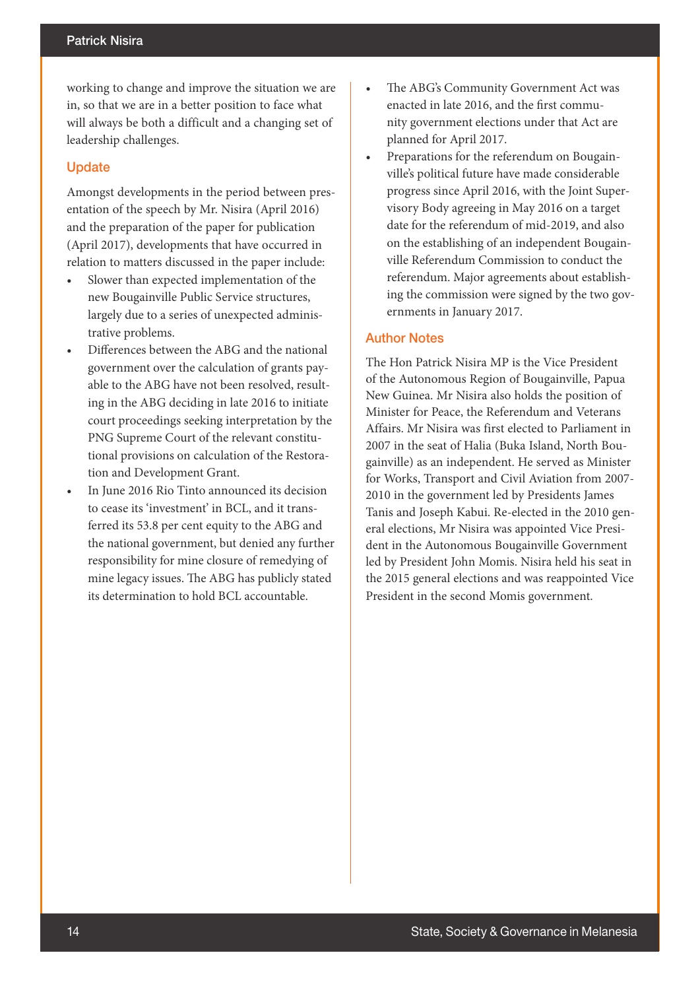working to change and improve the situation we are in, so that we are in a better position to face what will always be both a difficult and a changing set of leadership challenges.

## **Update**

Amongst developments in the period between presentation of the speech by Mr. Nisira (April 2016) and the preparation of the paper for publication (April 2017), developments that have occurred in relation to matters discussed in the paper include:

- Slower than expected implementation of the new Bougainville Public Service structures, largely due to a series of unexpected administrative problems.
- Differences between the ABG and the national government over the calculation of grants payable to the ABG have not been resolved, resulting in the ABG deciding in late 2016 to initiate court proceedings seeking interpretation by the PNG Supreme Court of the relevant constitutional provisions on calculation of the Restoration and Development Grant.
- In June 2016 Rio Tinto announced its decision to cease its 'investment' in BCL, and it transferred its 53.8 per cent equity to the ABG and the national government, but denied any further responsibility for mine closure of remedying of mine legacy issues. The ABG has publicly stated its determination to hold BCL accountable.
- The ABG's Community Government Act was enacted in late 2016, and the first community government elections under that Act are planned for April 2017.
- Preparations for the referendum on Bougainville's political future have made considerable progress since April 2016, with the Joint Supervisory Body agreeing in May 2016 on a target date for the referendum of mid-2019, and also on the establishing of an independent Bougainville Referendum Commission to conduct the referendum. Major agreements about establishing the commission were signed by the two governments in January 2017.

## Author Notes

The Hon Patrick Nisira MP is the Vice President of the Autonomous Region of Bougainville, Papua New Guinea. Mr Nisira also holds the position of Minister for Peace, the Referendum and Veterans Affairs. Mr Nisira was first elected to Parliament in 2007 in the seat of Halia (Buka Island, North Bougainville) as an independent. He served as Minister for Works, Transport and Civil Aviation from 2007- 2010 in the government led by Presidents James Tanis and Joseph Kabui. Re-elected in the 2010 general elections, Mr Nisira was appointed Vice President in the Autonomous Bougainville Government led by President John Momis. Nisira held his seat in the 2015 general elections and was reappointed Vice President in the second Momis government.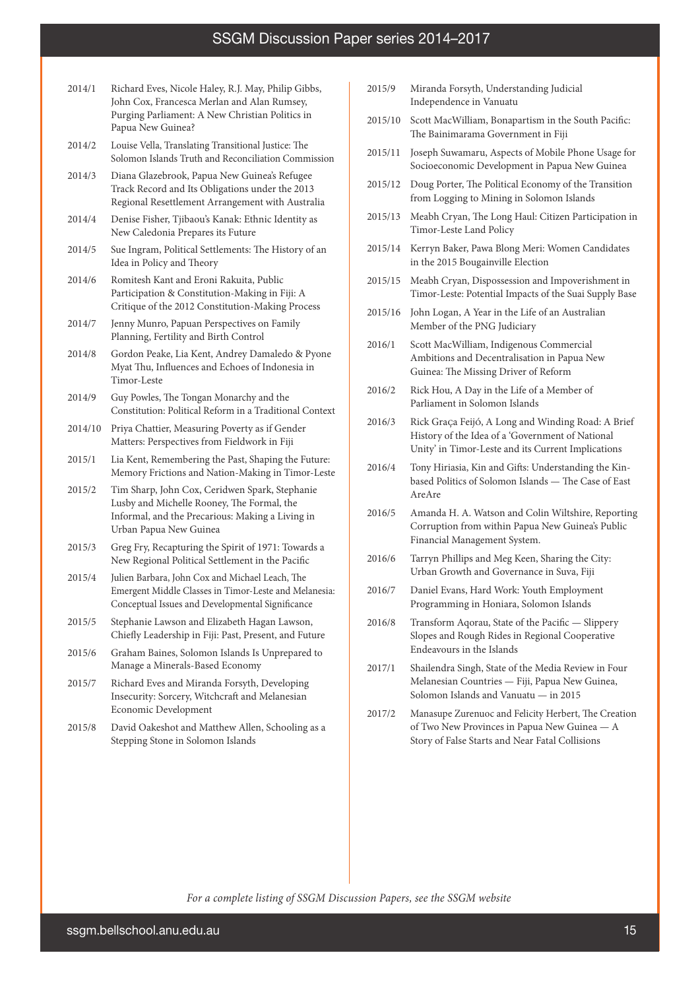- 2014/1 Richard Eves, Nicole Haley, R.J. May, Philip Gibbs, John Cox, Francesca Merlan and Alan Rumsey, Purging Parliament: A New Christian Politics in Papua New Guinea?
- 2014/2 Louise Vella, Translating Transitional Justice: The Solomon Islands Truth and Reconciliation Commission
- 2014/3 Diana Glazebrook, Papua New Guinea's Refugee Track Record and Its Obligations under the 2013 Regional Resettlement Arrangement with Australia
- 2014/4 Denise Fisher, Tjibaou's Kanak: Ethnic Identity as New Caledonia Prepares its Future
- 2014/5 Sue Ingram, Political Settlements: The History of an Idea in Policy and Theory
- 2014/6 Romitesh Kant and Eroni Rakuita, Public Participation & Constitution-Making in Fiji: A Critique of the 2012 Constitution-Making Process
- 2014/7 Jenny Munro, Papuan Perspectives on Family Planning, Fertility and Birth Control
- 2014/8 Gordon Peake, Lia Kent, Andrey Damaledo & Pyone Myat Thu, Influences and Echoes of Indonesia in Timor-Leste
- 2014/9 Guy Powles, The Tongan Monarchy and the Constitution: Political Reform in a Traditional Context
- 2014/10 Priya Chattier, Measuring Poverty as if Gender Matters: Perspectives from Fieldwork in Fiji
- 2015/1 Lia Kent, Remembering the Past, Shaping the Future: Memory Frictions and Nation-Making in Timor-Leste
- 2015/2 Tim Sharp, John Cox, Ceridwen Spark, Stephanie Lusby and Michelle Rooney, The Formal, the Informal, and the Precarious: Making a Living in Urban Papua New Guinea
- 2015/3 Greg Fry, Recapturing the Spirit of 1971: Towards a New Regional Political Settlement in the Pacific
- 2015/4 Julien Barbara, John Cox and Michael Leach, The Emergent Middle Classes in Timor-Leste and Melanesia: Conceptual Issues and Developmental Significance
- 2015/5 Stephanie Lawson and Elizabeth Hagan Lawson, Chiefly Leadership in Fiji: Past, Present, and Future
- 2015/6 Graham Baines, Solomon Islands Is Unprepared to Manage a Minerals-Based Economy
- 2015/7 Richard Eves and Miranda Forsyth, Developing Insecurity: Sorcery, Witchcraft and Melanesian Economic Development
- 2015/8 David Oakeshot and Matthew Allen, Schooling as a Stepping Stone in Solomon Islands
- 2015/9 Miranda Forsyth, Understanding Judicial Independence in Vanuatu
- 2015/10 Scott MacWilliam, Bonapartism in the South Pacific: The Bainimarama Government in Fiji
- 2015/11 Joseph Suwamaru, Aspects of Mobile Phone Usage for Socioeconomic Development in Papua New Guinea
- 2015/12 Doug Porter, The Political Economy of the Transition from Logging to Mining in Solomon Islands
- 2015/13 Meabh Cryan, The Long Haul: Citizen Participation in Timor-Leste Land Policy
- 2015/14 Kerryn Baker, Pawa Blong Meri: Women Candidates in the 2015 Bougainville Election
- 2015/15 Meabh Cryan, Dispossession and Impoverishment in Timor-Leste: Potential Impacts of the Suai Supply Base
- 2015/16 John Logan, A Year in the Life of an Australian Member of the PNG Judiciary
- 2016/1 Scott MacWilliam, Indigenous Commercial Ambitions and Decentralisation in Papua New Guinea: The Missing Driver of Reform
- 2016/2 Rick Hou, A Day in the Life of a Member of Parliament in Solomon Islands
- 2016/3 Rick GraÇa Feijó, A Long and Winding Road: A Brief History of the Idea of a 'Government of National Unity' in Timor-Leste and its Current Implications
- 2016/4 Tony Hiriasia, Kin and Gifts: Understanding the Kinbased Politics of Solomon Islands — The Case of East AreAre
- 2016/5 Amanda H. A. Watson and Colin Wiltshire, Reporting Corruption from within Papua New Guinea's Public Financial Management System.
- 2016/6 Tarryn Phillips and Meg Keen, Sharing the City: Urban Growth and Governance in Suva, Fiji
- 2016/7 Daniel Evans, Hard Work: Youth Employment Programming in Honiara, Solomon Islands
- 2016/8 Transform Aqorau, State of the Pacific Slippery Slopes and Rough Rides in Regional Cooperative Endeavours in the Islands
- 2017/1 Shailendra Singh, State of the Media Review in Four Melanesian Countries — Fiji, Papua New Guinea, Solomon Islands and Vanuatu — in 2015
- 2017/2 Manasupe Zurenuoc and Felicity Herbert, The Creation of Two New Provinces in Papua New Guinea — A Story of False Starts and Near Fatal Collisions

*For a complete listing of SSGM Discussion Papers, see the SSGM website*